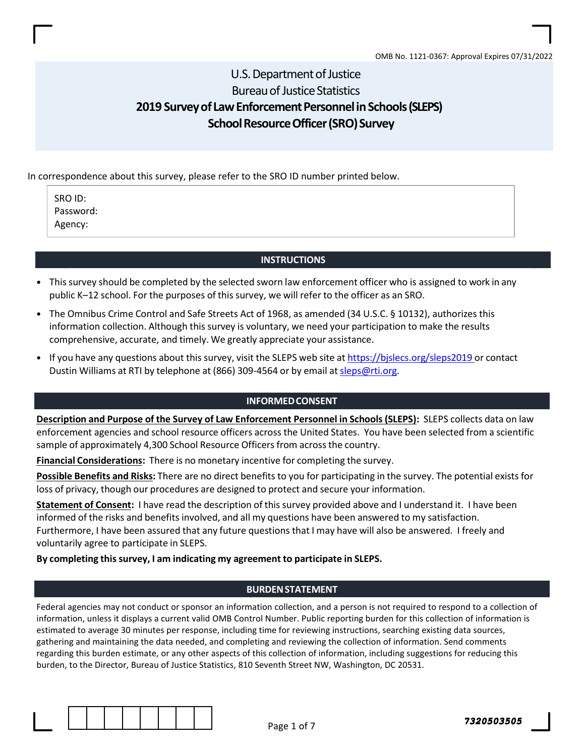## U.S. Department of Justice Bureau of Justice Statistics 2019 Survey of Law Enforcement Personnel in Schools (SLEPS) School Resource Officer (SRO) Survey

## In correspondence about this survey, please refer to the SRO ID number printed below.

SRO ID: Password: Agency:

### **INSTRUCTIONS**

- This survey should be completed by the selected sworn law enforcement officer who is assigned to work in any public K–12 school. For the purposes of this survey, we will refer to the officer as an SRO.
- The Omnibus Crime Control and Safe Streets Act of 1968, as amended (34 U.S.C. § 10132), authorizes this information collection. Although this survey is voluntary, we need your participation to make the results comprehensive, accurate, and timely. We greatly appreciate your assistance.
- If you have any questions about this survey, visit the SLEPS web site at https://bjslecs.org/sleps2019 or contact Dustin Williams at RTI by telephone at (866) 309-4564 or by email at sleps@rti.org.

#### INFORMED CONSENT

Description and Purpose of the Survey of Law Enforcement Personnel in Schools (SLEPS): SLEPS collects data on law enforcement agencies and school resource officers across the United States. You have been selected from a scientific sample of approximately 4,300 School Resource Officers from across the country.

Financial Considerations: There is no monetary incentive for completing the survey.

Possible Benefits and Risks: There are no direct benefits to you for participating in the survey. The potential exists for loss of privacy, though our procedures are designed to protect and secure your information.

Statement of Consent: I have read the description of this survey provided above and I understand it. I have been informed of the risks and benefits involved, and all my questions have been answered to my satisfaction. Furthermore, I have been assured that any future questions that I may have will also be answered. I freely and voluntarily agree to participate in SLEPS.

### By completing this survey, I am indicating my agreement to participate in SLEPS.

#### BURDEN STATEMENT

Federal agencies may not conduct or sponsor an information collection, and a person is not required to respond to a collection of information, unless it displays a current valid OMB Control Number. Public reporting burden for this collection of information is estimated to average 30 minutes per response, including time for reviewing instructions, searching existing data sources, gathering and maintaining the data needed, and completing and reviewing the collection of information. Send comments regarding this burden estimate, or any other aspects of this collection of information, including suggestions for reducing this burden, to the Director, Bureau of Justice Statistics, 810 Seventh Street NW, Washington, DC 20531.

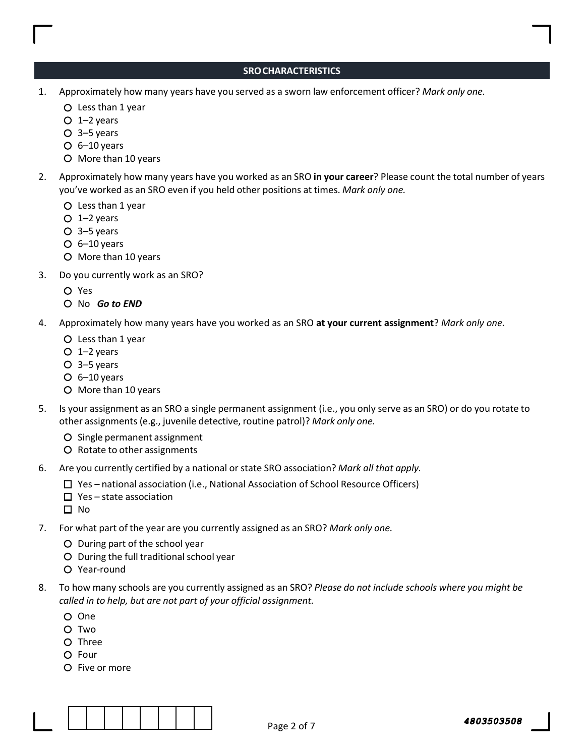## SRO CHARACTERISTICS

- 1. Approximately how many years have you served as a sworn law enforcement officer? Mark only one.
	- Less than 1 year
	- $O$  1–2 years
	- 3–5 years
	- $O$  6–10 years
	- O More than 10 years
- 2. Approximately how many years have you worked as an SRO in your career? Please count the total number of years you've worked as an SRO even if you held other positions at times. Mark only one.
	- Less than 1 year
	- $O$  1–2 years
	- 3–5 years
	- $O$  6–10 years
	- O More than 10 years
- 3. Do you currently work as an SRO?
	- Yes
	- O No Go to END
- 4. Approximately how many years have you worked as an SRO at your current assignment? Mark only one.
	- Less than 1 year
	- $O$  1–2 years
	- 3–5 years
	- $O$  6–10 years
	- O More than 10 years
- 5. Is your assignment as an SRO a single permanent assignment (i.e., you only serve as an SRO) or do you rotate to other assignments (e.g., juvenile detective, routine patrol)? Mark only one.
	- O Single permanent assignment
	- O Rotate to other assignments
- 6. Are you currently certified by a national or state SRO association? Mark all that apply.
	- $\Box$  Yes national association (i.e., National Association of School Resource Officers)
	- $\square$  Yes state association
	- $\Box$  No
- 7. For what part of the year are you currently assigned as an SRO? Mark only one.
	- During part of the school year
	- During the full traditional school year
	- Year-round
- 8. To how many schools are you currently assigned as an SRO? Please do not include schools where you might be called in to help, but are not part of your official assignment.
	- One
	- O Two
	- O Three
	- O Four
	- O Five or more

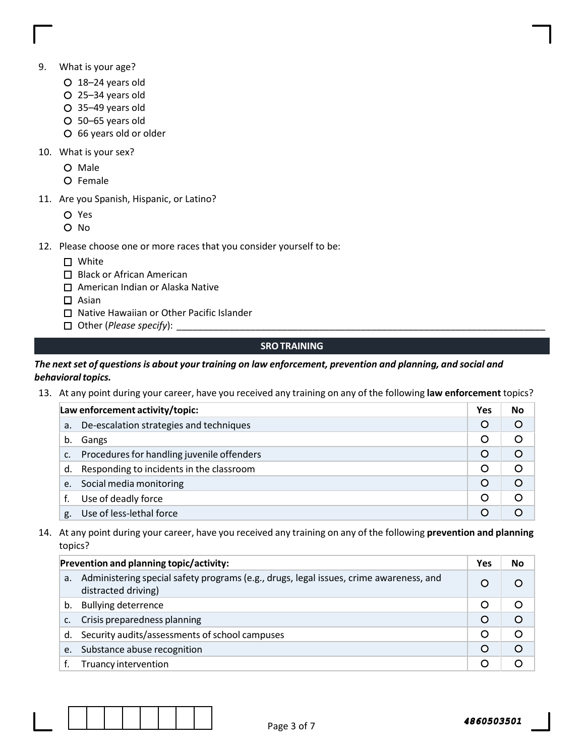- 9. What is your age?
	- 18–24 years old
	- 25–34 years old
	- 35–49 years old
	- 50–65 years old
	- 66 years old or older
- 10. What is your sex?
	- O Male
	- O Female
- 11. Are you Spanish, Hispanic, or Latino?
	- Yes
	- O No
- 12. Please choose one or more races that you consider yourself to be:
	- □ White
	- □ Black or African American
	- □ American Indian or Alaska Native
	- $\square$  Asian
	- □ Native Hawaiian or Other Pacific Islander
	- $\Box$  Other (Please specify):

## SRO TRAINING

## The next set of questions is about your training on law enforcement, prevention and planning, and social and behavioral topics.

13. At any point during your career, have you received any training on any of the following law enforcement topics?

| Law enforcement activity/topic: |                                            |         | No |
|---------------------------------|--------------------------------------------|---------|----|
| a.                              | De-escalation strategies and techniques    | $\circ$ |    |
| b.                              | Gangs                                      | Ő       |    |
| $\mathsf{C}$ .                  | Procedures for handling juvenile offenders | $\circ$ |    |
| d.                              | Responding to incidents in the classroom   | O       |    |
| e.                              | Social media monitoring                    | $\circ$ |    |
|                                 | Use of deadly force                        | O       |    |
| g.                              | Use of less-lethal force                   |         |    |

14. At any point during your career, have you received any training on any of the following prevention and planning topics?

| Prevention and planning topic/activity: |                                                                                                               |         | No       |
|-----------------------------------------|---------------------------------------------------------------------------------------------------------------|---------|----------|
| a.                                      | Administering special safety programs (e.g., drugs, legal issues, crime awareness, and<br>distracted driving) |         |          |
| b.                                      | <b>Bullying deterrence</b>                                                                                    | O       |          |
| $\mathsf{C}$ .                          | Crisis preparedness planning                                                                                  | $\circ$ | $\Omega$ |
|                                         | d. Security audits/assessments of school campuses                                                             | O       | ∩        |
|                                         | e. Substance abuse recognition                                                                                | $\circ$ | $\Omega$ |
|                                         | Truancy intervention                                                                                          |         |          |

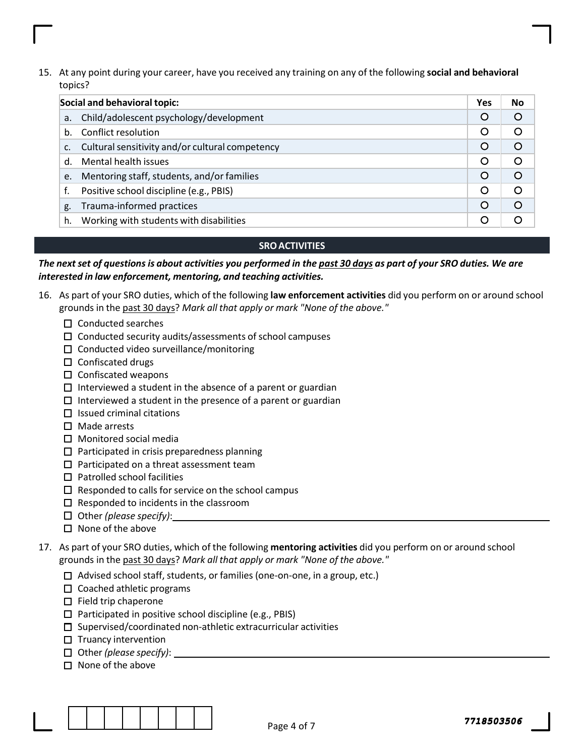15. At any point during your career, have you received any training on any of the following social and behavioral topics?

| Social and behavioral topic: |                                                 |         | No       |
|------------------------------|-------------------------------------------------|---------|----------|
| a.                           | Child/adolescent psychology/development         | O       | $\circ$  |
| h.                           | Conflict resolution                             | O       | $\circ$  |
| $\mathsf{C}$ .               | Cultural sensitivity and/or cultural competency | $\circ$ | $\circ$  |
| d.                           | Mental health issues                            | O       | $\circ$  |
| e.                           | Mentoring staff, students, and/or families      | $\circ$ | $\Omega$ |
| f.                           | Positive school discipline (e.g., PBIS)         | O       | ◯        |
| g.                           | Trauma-informed practices                       | O       | $\Omega$ |
| h.                           | Working with students with disabilities         | O       |          |

## SRO ACTIVITIES

The next set of questions is about activities you performed in the past 30 days as part of your SRO duties. We are interested in law enforcement, mentoring, and teaching activities.

- 16. As part of your SRO duties, which of the following law enforcement activities did you perform on or around school grounds in the past 30 days? Mark all that apply or mark "None of the above."
	- $\square$  Conducted searches
	- $\square$  Conducted security audits/assessments of school campuses
	- $\square$  Conducted video surveillance/monitoring
	- $\Box$  Confiscated drugs
	- $\square$  Confiscated weapons
	- $\Box$  Interviewed a student in the absence of a parent or guardian
	- $\Box$  Interviewed a student in the presence of a parent or guardian
	- $\square$  Issued criminal citations
	- $\square$  Made arrests
	- $\square$  Monitored social media
	- $\square$  Participated in crisis preparedness planning
	- $\square$  Participated on a threat assessment team
	- $\square$  Patrolled school facilities
	- $\square$  Responded to calls for service on the school campus
	- $\square$  Responded to incidents in the classroom
	- $\Box$  Other (please specify):
	- $\Box$  None of the above
- 17. As part of your SRO duties, which of the following mentoring activities did you perform on or around school grounds in the past 30 days? Mark all that apply or mark "None of the above."
	- $\Box$  Advised school staff, students, or families (one-on-one, in a group, etc.)
	- $\Box$  Coached athletic programs
	- $\Box$  Field trip chaperone
	- $\square$  Participated in positive school discipline (e.g., PBIS)
	- $\square$  Supervised/coordinated non-athletic extracurricular activities
	- $\Box$  Truancy intervention
	- $\Box$  Other (please specify):
	- $\Box$  None of the above

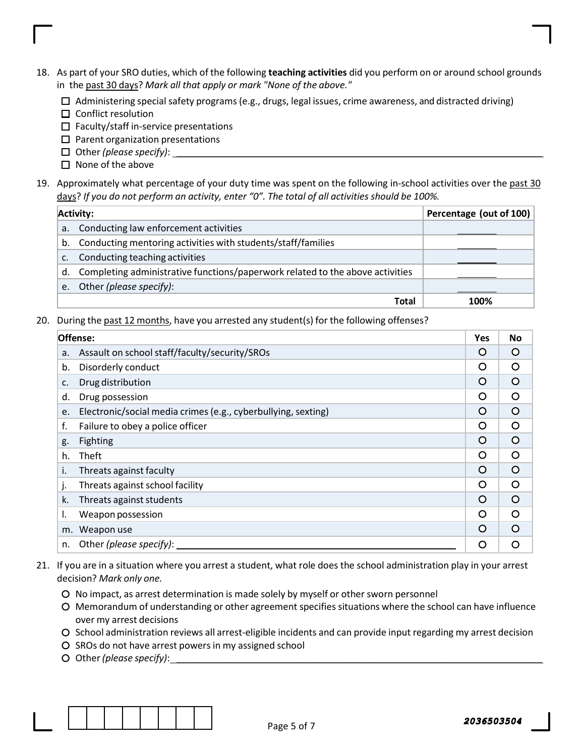- 18. As part of your SRO duties, which of the following teaching activities did you perform on or around school grounds in the past 30 days? Mark all that apply or mark "None of the above."
	- $\Box$  Administering special safety programs (e.g., drugs, legal issues, crime awareness, and distracted driving)
	- $\square$  Conflict resolution
	- $\Box$  Faculty/staff in-service presentations
	- $\square$  Parent organization presentations
	- $\Box$  Other (please specify):
	- $\Box$  None of the above
- 19. Approximately what percentage of your duty time was spent on the following in-school activities over the past 30 days? If you do not perform an activity, enter "0". The total of all activities should be 100%.

| <b>Activity:</b> |                                                                               | Percentage (out of 100) |
|------------------|-------------------------------------------------------------------------------|-------------------------|
| a.               | Conducting law enforcement activities                                         |                         |
| b.               | Conducting mentoring activities with students/staff/families                  |                         |
| $\mathsf{C}$ .   | Conducting teaching activities                                                |                         |
| d.               | Completing administrative functions/paperwork related to the above activities |                         |
| e.               | Other (please specify):                                                       |                         |
|                  | Total                                                                         | 100%                    |

20. During the past 12 months, have you arrested any student(s) for the following offenses?

| Offense: |                                                               |          | <b>No</b> |
|----------|---------------------------------------------------------------|----------|-----------|
| a.       | Assault on school staff/faculty/security/SROs                 | $\Omega$ | $\Omega$  |
| b.       | Disorderly conduct                                            | O        | $\Omega$  |
| c.       | Drug distribution                                             | O        | $\circ$   |
| d.       | Drug possession                                               | O        | O         |
| e.       | Electronic/social media crimes (e.g., cyberbullying, sexting) | O        | $\Omega$  |
| f.       | Failure to obey a police officer                              | Ω        | O         |
| g.       | Fighting                                                      | $\Omega$ | $\Omega$  |
| h.       | Theft                                                         | Ω        | O         |
| i.       | Threats against faculty                                       | $\Omega$ | $\Omega$  |
| j.       | Threats against school facility                               | ∩        | $\circ$   |
| k.       | Threats against students                                      | $\Omega$ | $\circ$   |
| ı.       | Weapon possession                                             | O        | $\circ$   |
| m.       | Weapon use                                                    | $\Omega$ | $\Omega$  |
| n.       | Other (please specify):                                       | ∩        | ∩         |

- 21. If you are in a situation where you arrest a student, what role does the school administration play in your arrest decision? Mark only one.
	- No impact, as arrest determination is made solely by myself or other sworn personnel
	- Memorandum of understanding or other agreement specifies situations where the school can have influence over my arrest decisions
	- O School administration reviews all arrest-eligible incidents and can provide input regarding my arrest decision
	- O SROs do not have arrest powers in my assigned school
	- O Other (please specify):

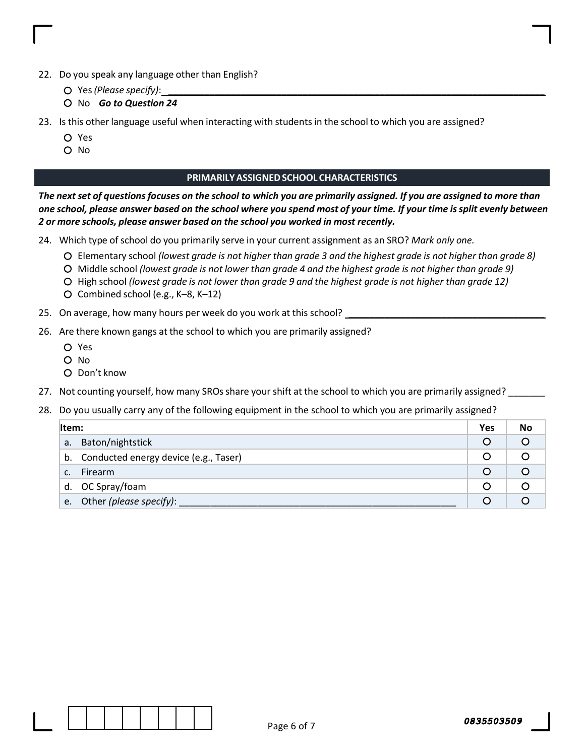- 22. Do you speak any language other than English?
	- $O$  Yes (Please specify):
	- O No **Go to Question 24**
- 23. Is this other language useful when interacting with students in the school to which you are assigned?
	- Yes
	- O No

## PRIMARILY ASSIGNED SCHOOL CHARACTERISTICS

The next set of questions focuses on the school to which you are primarily assigned. If you are assigned to more than one school, please answer based on the school where you spend most of your time. If your time is split evenly between 2 or more schools, please answer based on the school you worked in most recently.

24. Which type of school do you primarily serve in your current assignment as an SRO? Mark only one.

- Elementary school (lowest grade is not higher than grade 3 and the highest grade is not higher than grade 8)
- Middle school (lowest grade is not lower than grade 4 and the highest grade is not higher than grade 9)
- O High school (lowest grade is not lower than grade 9 and the highest grade is not higher than grade 12)
- Combined school (e.g., K–8, K–12)
- 25. On average, how many hours per week do you work at this school?
- 26. Are there known gangs at the school to which you are primarily assigned?
	- Yes
	- O No
	- Don't know
- 27. Not counting yourself, how many SROs share your shift at the school to which you are primarily assigned?

## 28. Do you usually carry any of the following equipment in the school to which you are primarily assigned?

| Item: |                                          | Yes         | No  |
|-------|------------------------------------------|-------------|-----|
| a.    | Baton/nightstick                         | Ő           | O   |
|       | b. Conducted energy device (e.g., Taser) |             |     |
|       | <b>Firearm</b>                           | $\mathbf C$ | ( ) |
|       | d. OC Spray/foam                         | O           |     |
|       | e. Other (please specify):               |             |     |